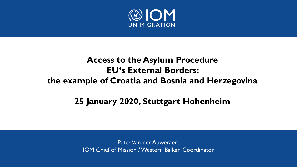

# **Access to the Asylum Procedure EU's External Borders: the example of Croatia and Bosnia and Herzegovina**

### **25 January 2020, Stuttgart Hohenheim**

Peter Van der Auweraert IOM Chief of Mission / Western Balkan Coordinator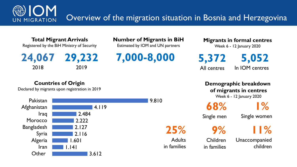Overview of the migration situation in Bosnia and Herzegovina **UN MIGRATION** 

**Total Migrant Arrivals** Registered by the BiH Ministry of Security

**24,067 7,000-8,000** 2018 **29,232**  2019

**Countries of Origin**

**Other** 

**Number of Migrants in BiH**

Estimated by IOM and UN partners

9.810

**25%**

in families

**Adults** 

**Migrants in formal centres**

Week 6 - 12 January 2020

**5,052** In IOM centres **5,372** All centres

**Demographic breakdown of migrants in centres** Week 6 - 12 January 2020

**68%**

**9%**

Children

in families

**1%** 

Single men

Single women

**11%**

Unaccompanied children



3.612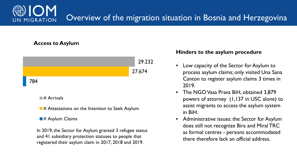### Overview of the migration situation in Bosnia and Herzegovina UN MIGRATION

### **Access to Asylum**



 $\blacksquare$ # Arrivals

 $\blacksquare$ # Attestations on the Intention to Seek Asylum

#### $\blacksquare$ # Asylum Claims

In 2019, the Sector for Asylum granted 3 refugee status and 41 subsidiary protection statuses to people that registered their asylum claim in 2017, 2018 and 2019.

#### **Hinders to the asylum procedure**

- Low capacity of the Sector for Asylum to process asylum claims; only visited Una Sana Canton to register asylum claims 3 times in 2019.
- The NGO Vasa Prava BiH, obtained 3,879 powers of attorney (1,137 in USC alone) to assist migrants to access the asylum system in BiH.
- Administrative issues: the Sector for Asylum does still not recognize Bira and Miral TRC as formal centres - persons accommodated there therefore lack an official address.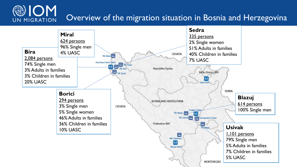#### **ON** Overview of the migration situation in Bosnia and Herzegovina UN MIGRATION

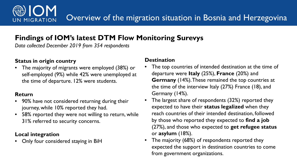### **Findings of IOM's latest DTM Flow Monitoring Surevys**

*Data collected December 2019 from 354 respondents* 

### **Status in origin country**

**UN MIGRATION** 

• The majority of migrants were employed (38%) or self-employed (9%) while 42% were unemployed at the time of departure. 12% were students.

### **Return**

- 90% have not considered returning during their journey, while 10% reported they had.
- 58% reported they were not willing to return, while 31% referred to security concerns.

### **Local integration**

• Only four considered staying in BiH

### **Destination**

- The top countries of intended destination at the time of departure were **Italy** (25%), **France** (20%) and **Germany** (14%). These remained the top countries at the time of the interview Italy (27%) France (18), and Germany (14%).
- The largest share of respondents (32%) reported they expected to have their **status legalized** when they reach countries of their intended destination, followed by those who reported they expected to **find a job**  (27%), and those who expected to **get refugee status**  or **asylum** (18%).
- The majority (68%) of respondents reported they expected the support in destination countries to come from government organizations.